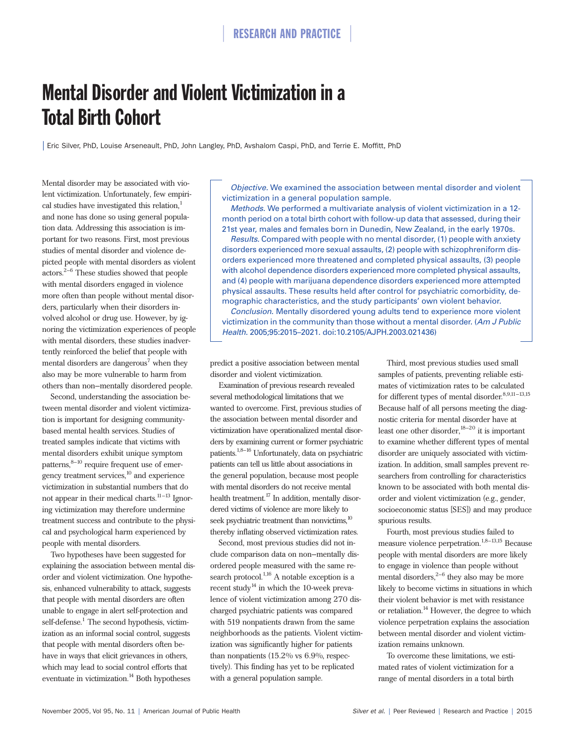# Mental Disorder and Violent Victimization in a Total Birth Cohort

| Eric Silver, PhD, Louise Arseneault, PhD, John Langley, PhD, Avshalom Caspi, PhD, and Terrie E. Moffitt, PhD

Mental disorder may be associated with violent victimization. Unfortunately, few empirical studies have investigated this relation,<sup>1</sup> and none has done so using general population data. Addressing this association is important for two reasons. First, most previous studies of mental disorder and violence depicted people with mental disorders as violent  $\arccos^{2-6}$  These studies showed that people with mental disorders engaged in violence more often than people without mental disorders, particularly when their disorders involved alcohol or drug use. However, by ignoring the victimization experiences of people with mental disorders, these studies inadvertently reinforced the belief that people with mental disorders are dangerous<sup>7</sup> when they also may be more vulnerable to harm from others than non–mentally disordered people.

Second, understanding the association between mental disorder and violent victimization is important for designing communitybased mental health services. Studies of treated samples indicate that victims with mental disorders exhibit unique symptom patterns, 8-10 require frequent use of emergency treatment services,<sup>10</sup> and experience victimization in substantial numbers that do not appear in their medical charts.<sup>11–13</sup> Ignoring victimization may therefore undermine treatment success and contribute to the physical and psychological harm experienced by people with mental disorders.

Two hypotheses have been suggested for explaining the association between mental disorder and violent victimization. One hypothesis, enhanced vulnerability to attack, suggests that people with mental disorders are often unable to engage in alert self-protection and self-defense.<sup>1</sup> The second hypothesis, victimization as an informal social control, suggests that people with mental disorders often behave in ways that elicit grievances in others, which may lead to social control efforts that eventuate in victimization.<sup>14</sup> Both hypotheses

*Objective.* We examined the association between mental disorder and violent victimization in a general population sample.

*Methods.* We performed a multivariate analysis of violent victimization in a 12 month period on a total birth cohort with follow-up data that assessed, during their 21st year, males and females born in Dunedin, New Zealand, in the early 1970s.

*Results.* Compared with people with no mental disorder, (1) people with anxiety disorders experienced more sexual assaults, (2) people with schizophreniform disorders experienced more threatened and completed physical assaults, (3) people with alcohol dependence disorders experienced more completed physical assaults, and (4) people with marijuana dependence disorders experienced more attempted physical assaults. These results held after control for psychiatric comorbidity, demographic characteristics, and the study participants' own violent behavior.

*Conclusion.* Mentally disordered young adults tend to experience more violent victimization in the community than those without a mental disorder. (*Am J Public Health.* 2005;95:2015–2021. doi:10.2105/AJPH.2003.021436)

predict a positive association between mental disorder and violent victimization.

Examination of previous research revealed several methodological limitations that we wanted to overcome. First, previous studies of the association between mental disorder and victimization have operationalized mental disorders by examining current or former psychiatric patients.1,8–16 Unfortunately, data on psychiatric patients can tell us little about associations in the general population, because most people with mental disorders do not receive mental health treatment.<sup>17</sup> In addition, mentally disordered victims of violence are more likely to seek psychiatric treatment than nonvictims,<sup>10</sup> thereby inflating observed victimization rates.

Second, most previous studies did not include comparison data on non–mentally disordered people measured with the same research protocol. $1,16$  A notable exception is a recent study $^{14}$  in which the 10-week prevalence of violent victimization among 270 discharged psychiatric patients was compared with 519 nonpatients drawn from the same neighborhoods as the patients. Violent victimization was significantly higher for patients than nonpatients (15.2% vs 6.9%, respectively). This finding has yet to be replicated with a general population sample.

Third, most previous studies used small samples of patients, preventing reliable estimates of victimization rates to be calculated for different types of mental disorder.  $^{8,9,11-13,15}$ Because half of all persons meeting the diagnostic criteria for mental disorder have at least one other disorder,  $18-20$  it is important to examine whether different types of mental disorder are uniquely associated with victimization. In addition, small samples prevent researchers from controlling for characteristics known to be associated with both mental disorder and violent victimization (e.g., gender, socioeconomic status [SES]) and may produce spurious results.

Fourth, most previous studies failed to measure violence perpetration.<sup>1,8–13,15</sup> Because people with mental disorders are more likely to engage in violence than people without mental disorders, $2^{-6}$  they also may be more likely to become victims in situations in which their violent behavior is met with resistance or retaliation.<sup>14</sup> However, the degree to which violence perpetration explains the association between mental disorder and violent victimization remains unknown.

To overcome these limitations, we estimated rates of violent victimization for a range of mental disorders in a total birth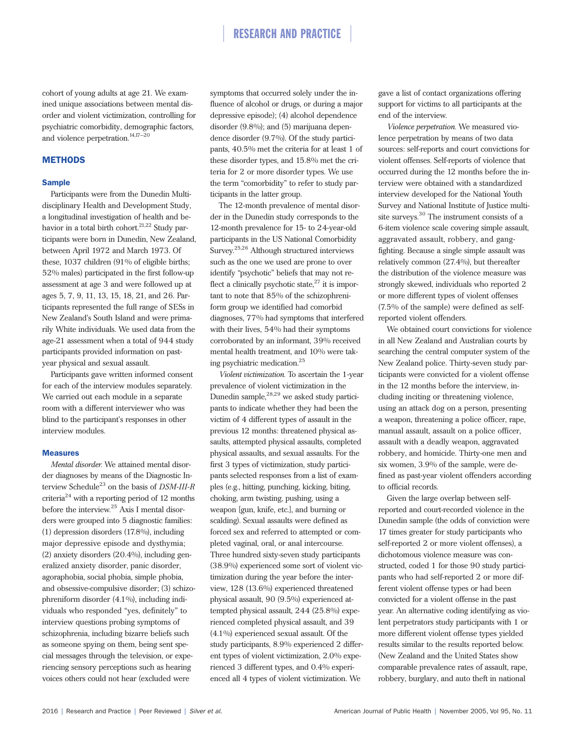# RESEARCH AND PRACTICE

cohort of young adults at age 21. We examined unique associations between mental disorder and violent victimization, controlling for psychiatric comorbidity, demographic factors, and violence perpetration. $14,17-20$ 

# **METHODS**

### **Sample**

Participants were from the Dunedin Multidisciplinary Health and Development Study, a longitudinal investigation of health and behavior in a total birth cohort.<sup>21,22</sup> Study participants were born in Dunedin, New Zealand, between April 1972 and March 1973. Of these, 1037 children (91% of eligible births; 52% males) participated in the first follow-up assessment at age 3 and were followed up at ages 5, 7, 9, 11, 13, 15, 18, 21, and 26. Participants represented the full range of SESs in New Zealand's South Island and were primarily White individuals. We used data from the age-21 assessment when a total of 944 study participants provided information on pastyear physical and sexual assault.

Participants gave written informed consent for each of the interview modules separately. We carried out each module in a separate room with a different interviewer who was blind to the participant's responses in other interview modules.

# **Measures**

*Mental disorder.* We attained mental disorder diagnoses by means of the Diagnostic Interview Schedule<sup>23</sup> on the basis of *DSM-III-R* criteria<sup>24</sup> with a reporting period of 12 months before the interview.<sup>25</sup> Axis I mental disorders were grouped into 5 diagnostic families: (1) depression disorders (17.8%), including major depressive episode and dysthymia; (2) anxiety disorders (20.4%), including generalized anxiety disorder, panic disorder, agoraphobia, social phobia, simple phobia, and obsessive-compulsive disorder; (3) schizophreniform disorder (4.1%), including individuals who responded "yes, definitely" to interview questions probing symptoms of schizophrenia, including bizarre beliefs such as someone spying on them, being sent special messages through the television, or experiencing sensory perceptions such as hearing voices others could not hear (excluded were

symptoms that occurred solely under the influence of alcohol or drugs, or during a major depressive episode); (4) alcohol dependence disorder (9.8%); and (5) marijuana dependence disorder (9.7%). Of the study participants, 40.5% met the criteria for at least 1 of these disorder types, and 15.8% met the criteria for 2 or more disorder types. We use the term "comorbidity" to refer to study participants in the latter group.

The 12-month prevalence of mental disorder in the Dunedin study corresponds to the 12-month prevalence for 15- to 24-year-old participants in the US National Comorbidity Survey.25,26 Although structured interviews such as the one we used are prone to over identify "psychotic" beliefs that may not reflect a clinically psychotic state, $27$  it is important to note that 85% of the schizophreniform group we identified had comorbid diagnoses, 77% had symptoms that interfered with their lives, 54% had their symptoms corroborated by an informant, 39% received mental health treatment, and 10% were taking psychiatric medication.<sup>25</sup>

*Violent victimization.* To ascertain the 1-year prevalence of violent victimization in the Dunedin sample,<sup>28,29</sup> we asked study participants to indicate whether they had been the victim of 4 different types of assault in the previous 12 months: threatened physical assaults, attempted physical assaults, completed physical assaults, and sexual assaults. For the first 3 types of victimization, study participants selected responses from a list of examples (e.g., hitting, punching, kicking, biting, choking, arm twisting, pushing, using a weapon [gun, knife, etc.], and burning or scalding). Sexual assaults were defined as forced sex and referred to attempted or completed vaginal, oral, or anal intercourse. Three hundred sixty-seven study participants (38.9%) experienced some sort of violent victimization during the year before the interview, 128 (13.6%) experienced threatened physical assault, 90 (9.5%) experienced attempted physical assault, 244 (25.8%) experienced completed physical assault, and 39 (4.1%) experienced sexual assault. Of the study participants, 8.9% experienced 2 different types of violent victimization, 2.0% experienced 3 different types, and 0.4% experienced all 4 types of violent victimization. We

gave a list of contact organizations offering support for victims to all participants at the end of the interview.

*Violence perpetration.* We measured violence perpetration by means of two data sources: self-reports and court convictions for violent offenses. Self-reports of violence that occurred during the 12 months before the interview were obtained with a standardized interview developed for the National Youth Survey and National Institute of Justice multisite surveys.<sup>30</sup> The instrument consists of a 6-item violence scale covering simple assault, aggravated assault, robbery, and gangfighting. Because a single simple assault was relatively common (27.4%), but thereafter the distribution of the violence measure was strongly skewed, individuals who reported 2 or more different types of violent offenses (7.5% of the sample) were defined as selfreported violent offenders.

We obtained court convictions for violence in all New Zealand and Australian courts by searching the central computer system of the New Zealand police. Thirty-seven study participants were convicted for a violent offense in the 12 months before the interview, including inciting or threatening violence, using an attack dog on a person, presenting a weapon, threatening a police officer, rape, manual assault, assault on a police officer, assault with a deadly weapon, aggravated robbery, and homicide. Thirty-one men and six women, 3.9% of the sample, were defined as past-year violent offenders according to official records.

Given the large overlap between selfreported and court-recorded violence in the Dunedin sample (the odds of conviction were 17 times greater for study participants who self-reported 2 or more violent offenses), a dichotomous violence measure was constructed, coded 1 for those 90 study participants who had self-reported 2 or more different violent offense types or had been convicted for a violent offense in the past year. An alternative coding identifying as violent perpetrators study participants with 1 or more different violent offense types yielded results similar to the results reported below. (New Zealand and the United States show comparable prevalence rates of assault, rape, robbery, burglary, and auto theft in national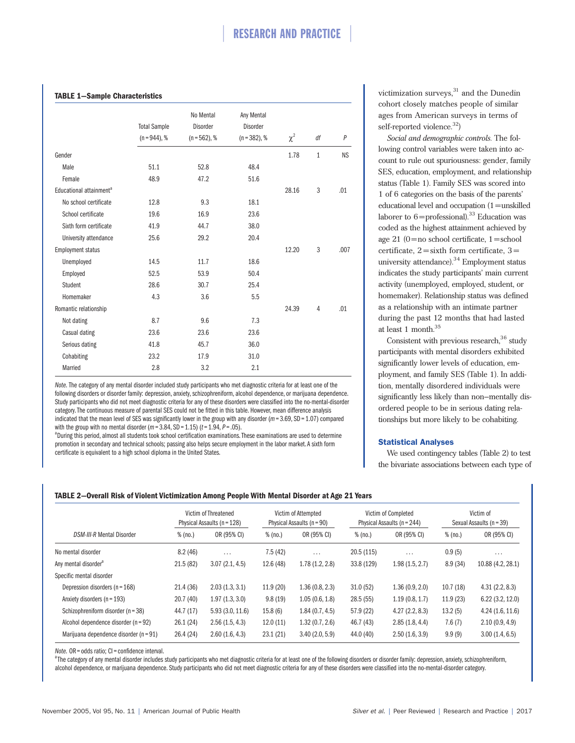# RESEARCH AND PRACTICE

#### **TABLE 1—Sample Characteristics**

|                                     | <b>Total Sample</b><br>$(n = 944)$ , % | No Mental<br>Disorder<br>$(n = 562)$ , % | Any Mental<br>Disorder<br>$(n = 382)$ , % | $\chi^2$ | df           | P         |
|-------------------------------------|----------------------------------------|------------------------------------------|-------------------------------------------|----------|--------------|-----------|
| Gender                              |                                        |                                          |                                           | 1.78     | $\mathbf{1}$ | <b>NS</b> |
| Male                                | 51.1                                   | 52.8                                     | 48.4                                      |          |              |           |
| Female                              | 48.9                                   | 47.2                                     | 51.6                                      |          |              |           |
| Educational attainment <sup>a</sup> |                                        |                                          |                                           | 28.16    | 3            | .01       |
| No school certificate               | 12.8                                   | 9.3                                      | 18.1                                      |          |              |           |
| School certificate                  | 19.6                                   | 16.9                                     | 23.6                                      |          |              |           |
| Sixth form certificate              | 41.9                                   | 44.7                                     | 38.0                                      |          |              |           |
| University attendance               | 25.6                                   | 29.2                                     | 20.4                                      |          |              |           |
| <b>Employment status</b>            |                                        |                                          |                                           | 12.20    | 3            | .007      |
| Unemployed                          | 14.5                                   | 11.7                                     | 18.6                                      |          |              |           |
| Employed                            | 52.5                                   | 53.9                                     | 50.4                                      |          |              |           |
| Student                             | 28.6                                   | 30.7                                     | 25.4                                      |          |              |           |
| Homemaker                           | 4.3                                    | 3.6                                      | 5.5                                       |          |              |           |
| Romantic relationship               |                                        |                                          |                                           | 24.39    | 4            | .01       |
| Not dating                          | 8.7                                    | 9.6                                      | 7.3                                       |          |              |           |
| Casual dating                       | 23.6                                   | 23.6                                     | 23.6                                      |          |              |           |
| Serious dating                      | 41.8                                   | 45.7                                     | 36.0                                      |          |              |           |
| Cohabiting                          | 23.2                                   | 17.9                                     | 31.0                                      |          |              |           |
| Married                             | 2.8                                    | 3.2                                      | 2.1                                       |          |              |           |

*Note.* The category of any mental disorder included study participants who met diagnostic criteria for at least one of the following disorders or disorder family: depression, anxiety, schizophreniform, alcohol dependence, or marijuana dependence. Study participants who did not meet diagnostic criteria for any of these disorders were classified into the no-mental-disorder category. The continuous measure of parental SES could not be fitted in this table. However, mean difference analysis indicated that the mean level of SES was significantly lower in the group with any disorder (*m*= 3.69, SD = 1.07) compared with the group with no mental disorder ( $m$  = 3.84, SD = 1.15) ( $t$  = 1.94,  $P$  = .05).

 $^{\text{a}}$ During this period, almost all students took school certification examinations. These examinations are used to determine promotion in secondary and technical schools; passing also helps secure employment in the labor market. A sixth form certificate is equivalent to a high school diploma in the United States.

victimization surveys,<sup>31</sup> and the Dunedin cohort closely matches people of similar ages from American surveys in terms of self-reported violence.<sup>32</sup>)

*Social and demographic controls.* The following control variables were taken into account to rule out spuriousness: gender, family SES, education, employment, and relationship status (Table 1). Family SES was scored into 1 of 6 categories on the basis of the parents' educational level and occupation (1=unskilled laborer to  $6=$ professional).<sup>33</sup> Education was coded as the highest attainment achieved by age 21 (0=no school certificate, 1=school certificate,  $2 = \text{sixth}$  form certificate,  $3 =$ university attendance).<sup>34</sup> Employment status indicates the study participants' main current activity (unemployed, employed, student, or homemaker). Relationship status was defined as a relationship with an intimate partner during the past 12 months that had lasted at least 1 month.35

Consistent with previous research,<sup>36</sup> study participants with mental disorders exhibited significantly lower levels of education, employment, and family SES (Table 1). In addition, mentally disordered individuals were significantly less likely than non–mentally disordered people to be in serious dating relationships but more likely to be cohabiting.

# Statistical Analyses

We used contingency tables (Table 2) to test the bivariate associations between each type of

## **TABLE 2—Overall Risk of Violent Victimization Among People With Mental Disorder at Age 21 Years**

|                                            |           | Victim of Threatened<br>Physical Assaults ( $n = 128$ ) |           | Victim of Attempted<br>Physical Assaults $(n = 90)$ |            | Victim of Completed<br>Physical Assaults (n = 244) |          | Victim of<br>Sexual Assaults $(n = 39)$ |
|--------------------------------------------|-----------|---------------------------------------------------------|-----------|-----------------------------------------------------|------------|----------------------------------------------------|----------|-----------------------------------------|
| DSM-III-R Mental Disorder                  | % (no.)   | OR (95% CI)                                             | % (no.)   | OR (95% CI)                                         | % (no.)    | OR (95% CI)                                        | % (no.)  | OR (95% CI)                             |
| No mental disorder                         | 8.2(46)   | $\cdots$                                                | 7.5(42)   | $\cdots$                                            | 20.5(115)  | $\cdots$                                           | 0.9(5)   | $\cdots$                                |
| Any mental disorder <sup>a</sup>           | 21.5(82)  | 3.07(2.1, 4.5)                                          | 12.6 (48) | 1.78(1.2, 2.8)                                      | 33.8 (129) | 1.98(1.5, 2.7)                                     | 8.9(34)  | 10.88 (4.2, 28.1)                       |
| Specific mental disorder                   |           |                                                         |           |                                                     |            |                                                    |          |                                         |
| Depression disorders ( $n = 168$ )         | 21.4 (36) | 2.03(1.3, 3.1)                                          | 11.9(20)  | 1.36(0.8, 2.3)                                      | 31.0(52)   | 1.36(0.9, 2.0)                                     | 10.7(18) | 4.31(2.2, 8.3)                          |
| Anxiety disorders $(n = 193)$              | 20.7(40)  | 1.97(1.3, 3.0)                                          | 9.8(19)   | 1.05(0.6, 1.8)                                      | 28.5(55)   | 1.19(0.8, 1.7)                                     | 11.9(23) | 6.22(3.2, 12.0)                         |
| Schizophreniform disorder ( $n = 38$ )     | 44.7 (17) | 5.93(3.0, 11.6)                                         | 15.8(6)   | 1.84(0.7, 4.5)                                      | 57.9 (22)  | 4.27(2.2, 8.3)                                     | 13.2(5)  | 4.24(1.6, 11.6)                         |
| Alcohol dependence disorder $(n = 92)$     | 26.1(24)  | 2.56(1.5, 4.3)                                          | 12.0(11)  | 1.32(0.7, 2.6)                                      | 46.7 (43)  | 2.85(1.8, 4.4)                                     | 7.6(7)   | 2.10(0.9, 4.9)                          |
| Marijuana dependence disorder ( $n = 91$ ) | 26.4(24)  | 2.60(1.6, 4.3)                                          | 23.1(21)  | 3.40(2.0, 5.9)                                      | 44.0 (40)  | 2.50(1.6, 3.9)                                     | 9.9(9)   | 3.00(1.4, 6.5)                          |

*Note.* OR = odds ratio; CI = confidence interval.

<sup>a</sup>The category of any mental disorder includes study participants who met diagnostic criteria for at least one of the following disorders or disorder family: depression, anxiety, schizophreniform, alcohol dependence, or marijuana dependence. Study participants who did not meet diagnostic criteria for any of these disorders were classified into the no-mental-disorder category.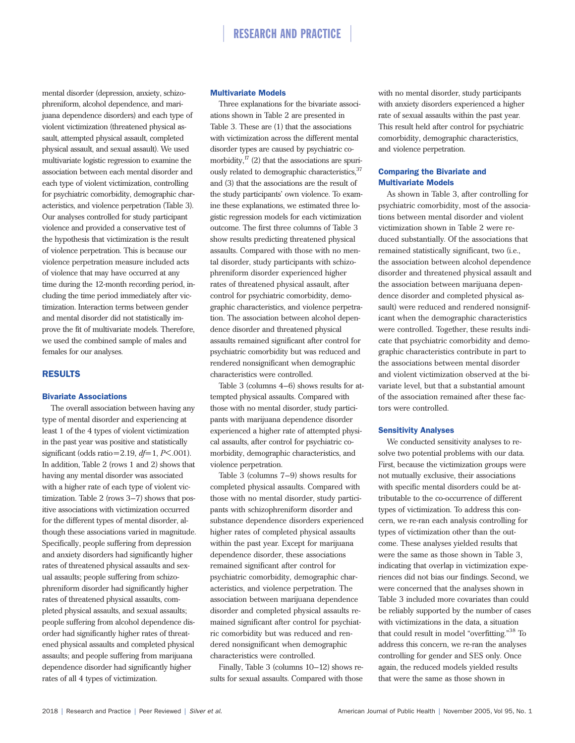mental disorder (depression, anxiety, schizophreniform, alcohol dependence, and marijuana dependence disorders) and each type of violent victimization (threatened physical assault, attempted physical assault, completed physical assault, and sexual assault). We used multivariate logistic regression to examine the association between each mental disorder and each type of violent victimization, controlling for psychiatric comorbidity, demographic characteristics, and violence perpetration (Table 3). Our analyses controlled for study participant violence and provided a conservative test of the hypothesis that victimization is the result of violence perpetration. This is because our violence perpetration measure included acts of violence that may have occurred at any time during the 12-month recording period, including the time period immediately after victimization. Interaction terms between gender and mental disorder did not statistically improve the fit of multivariate models. Therefore, we used the combined sample of males and females for our analyses.

# RESULTS

# Bivariate Associations

The overall association between having any type of mental disorder and experiencing at least 1 of the 4 types of violent victimization in the past year was positive and statistically significant (odds ratio=2.19, *df*=1, *P*<.001). In addition, Table 2 (rows 1 and 2) shows that having any mental disorder was associated with a higher rate of each type of violent victimization. Table 2 (rows 3–7) shows that positive associations with victimization occurred for the different types of mental disorder, although these associations varied in magnitude. Specifically, people suffering from depression and anxiety disorders had significantly higher rates of threatened physical assaults and sexual assaults; people suffering from schizophreniform disorder had significantly higher rates of threatened physical assaults, completed physical assaults, and sexual assaults; people suffering from alcohol dependence disorder had significantly higher rates of threatened physical assaults and completed physical assaults; and people suffering from marijuana dependence disorder had significantly higher rates of all 4 types of victimization.

# Multivariate Models

Three explanations for the bivariate associations shown in Table 2 are presented in Table 3. These are (1) that the associations with victimization across the different mental disorder types are caused by psychiatric comorbidity, $^{17}$  (2) that the associations are spuriously related to demographic characteristics, 37 and (3) that the associations are the result of the study participants' own violence. To examine these explanations, we estimated three logistic regression models for each victimization outcome. The first three columns of Table 3 show results predicting threatened physical assaults. Compared with those with no mental disorder, study participants with schizophreniform disorder experienced higher rates of threatened physical assault, after control for psychiatric comorbidity, demographic characteristics, and violence perpetration. The association between alcohol dependence disorder and threatened physical assaults remained significant after control for psychiatric comorbidity but was reduced and rendered nonsignificant when demographic characteristics were controlled.

Table 3 (columns 4–6) shows results for attempted physical assaults. Compared with those with no mental disorder, study participants with marijuana dependence disorder experienced a higher rate of attempted physical assaults, after control for psychiatric comorbidity, demographic characteristics, and violence perpetration.

Table 3 (columns 7–9) shows results for completed physical assaults. Compared with those with no mental disorder, study participants with schizophreniform disorder and substance dependence disorders experienced higher rates of completed physical assaults within the past year. Except for marijuana dependence disorder, these associations remained significant after control for psychiatric comorbidity, demographic characteristics, and violence perpetration. The association between marijuana dependence disorder and completed physical assaults remained significant after control for psychiatric comorbidity but was reduced and rendered nonsignificant when demographic characteristics were controlled.

Finally, Table 3 (columns 10–12) shows results for sexual assaults. Compared with those with no mental disorder, study participants with anxiety disorders experienced a higher rate of sexual assaults within the past year. This result held after control for psychiatric comorbidity, demographic characteristics, and violence perpetration.

# Comparing the Bivariate and Multivariate Models

As shown in Table 3, after controlling for psychiatric comorbidity, most of the associations between mental disorder and violent victimization shown in Table 2 were reduced substantially. Of the associations that remained statistically significant, two (i.e., the association between alcohol dependence disorder and threatened physical assault and the association between marijuana dependence disorder and completed physical assault) were reduced and rendered nonsignificant when the demographic characteristics were controlled. Together, these results indicate that psychiatric comorbidity and demographic characteristics contribute in part to the associations between mental disorder and violent victimization observed at the bivariate level, but that a substantial amount of the association remained after these factors were controlled.

### Sensitivity Analyses

We conducted sensitivity analyses to resolve two potential problems with our data. First, because the victimization groups were not mutually exclusive, their associations with specific mental disorders could be attributable to the co-occurrence of different types of victimization. To address this concern, we re-ran each analysis controlling for types of victimization other than the outcome. These analyses yielded results that were the same as those shown in Table 3, indicating that overlap in victimization experiences did not bias our findings. Second, we were concerned that the analyses shown in Table 3 included more covariates than could be reliably supported by the number of cases with victimizations in the data, a situation that could result in model "overfitting."<sup>38</sup> To address this concern, we re-ran the analyses controlling for gender and SES only. Once again, the reduced models yielded results that were the same as those shown in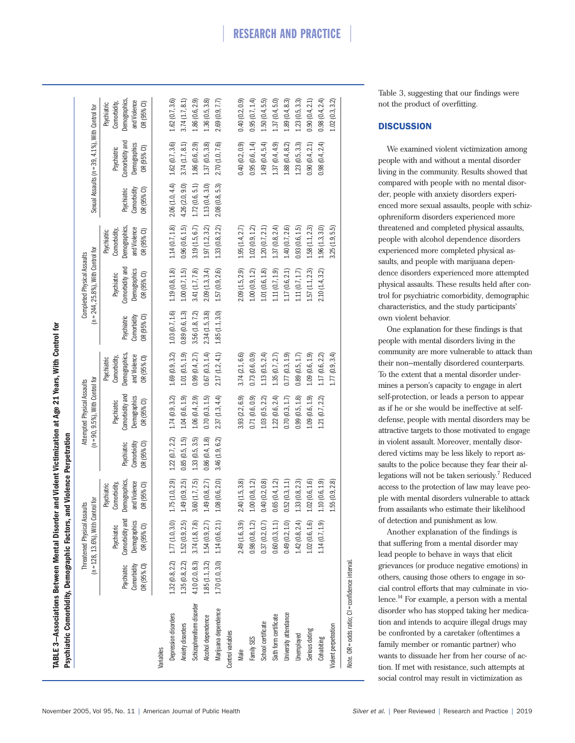| Psychiatric Comorbidity, Demographic Factors, and Violence Perpetration<br>TABLE 3-Associations Between Mental Disorder |                                           |                                                                        |                                                                             |                                           | and Violent Victimization at Age 21 Years, With Control for         |                                                                             |                                           |                                                                       |                                                                            |                                                    |                                                               |                                                                                   |
|-------------------------------------------------------------------------------------------------------------------------|-------------------------------------------|------------------------------------------------------------------------|-----------------------------------------------------------------------------|-------------------------------------------|---------------------------------------------------------------------|-----------------------------------------------------------------------------|-------------------------------------------|-----------------------------------------------------------------------|----------------------------------------------------------------------------|----------------------------------------------------|---------------------------------------------------------------|-----------------------------------------------------------------------------------|
|                                                                                                                         |                                           | $(n = 128, 13.6\%)$ , With Control for<br>Threatened Physical Assaults |                                                                             |                                           | $(n = 90, 9.5\%)$ , With Control for<br>Attempted Physical Assaults |                                                                             |                                           | $(n = 244, 25.8\%)$ , With Control for<br>Completed Physical Assaults |                                                                            |                                                    | Sexual Assaults (n = 39, 4.1%), With Control for              |                                                                                   |
|                                                                                                                         | Comorbidity<br>OR (95% CI)<br>Psychiatric | Comorbidity and<br>Demographics<br>OR (95% CI)<br>Psychiatric          | Demographics,<br>and Violence<br>Comorbidity,<br>OR (95% CI)<br>Psychiatric | Comorbidity<br>OR (95% CI)<br>Psychiatric | Comorbidity and<br>Demographics<br>OR (95% CI)<br>Psychiatric       | Demographics,<br>and Violence<br>Comorbidity,<br>OR (95% CI)<br>Psychiatric | Comorbidity<br>OR (95% CI)<br>Psychiatric | Comorbidity and<br>Demographics<br>OR (95% CI)<br>Psychiatric         | Demographics<br>and Violence<br>Comorbidity,<br>OR (95% CI)<br>Psychiatric | Comorbidity<br>DR (95% CI)<br>Psychiatric          | Comorbidity and<br>Demographics<br>OR (95% CI)<br>Psychiatric | <b>Demographics</b><br>and Violence<br>OR (95% CI)<br>Comorbidity,<br>Psychiatric |
| variables                                                                                                               |                                           |                                                                        |                                                                             |                                           |                                                                     |                                                                             |                                           |                                                                       |                                                                            |                                                    |                                                               |                                                                                   |
| Depression disorders                                                                                                    |                                           | $1.32(0.8, 2.2)$ $1.77(1.0, 3.0)$                                      | 1.75(1.0, 2.9)                                                              |                                           | $1.22(0.7, 2.2)$ $1.74(0.9, 3.2)$                                   |                                                                             | $1.69(0.9, 3.2)$ $1.03(0.7, 1.6)$         | 1.19(0.8, 1.8)                                                        |                                                                            | $1.14(0.7, 1.8)$ $2.06(1.0, 4.4)$ $1.62(0.7, 3.6)$ |                                                               | 1.62(0.7, 3.6)                                                                    |
| Anxiety disorders                                                                                                       | 1.35(0.8, 2.2)                            | 1.52(0.9, 2.5)                                                         | 1.49(0.9, 2.5)                                                              | 0.85(0.5, 1.5)                            | 1.04(0.6, 1.9)                                                      | 1.01(0.5, 1.9)                                                              | 0.89(0.6, 1.3)                            | 1.00(0.7, 1.5)                                                        | 0.96(0.6, 1.5)                                                             | 4.26 (2.0, 9.0)                                    | 3.74(1.7, 8.1)                                                | 3.74(1.7, 8.1)                                                                    |
| Schizophreniform disorder                                                                                               | 4.10 (2.0, 8.3)                           | 3.74(1.8, 7.8)                                                         | 3.60(1.7, 7.5)                                                              | 1.33(0.5, 3.5)                            | 1.06(0.4, 2.9)                                                      | 0.99(0.4, 2.7)                                                              | 3.56(1.8, 7.2)                            | 3.41 (1.7, 7.8)                                                       | 3.19(1.5, 6.7)                                                             | 1.72(0.6, 5.1)                                     | 1.86 (0.6, 2.9)                                               | 1.86 (0.6, 2.9)                                                                   |
| Alcohol dependence                                                                                                      |                                           | $1.85(1.1, 3.2)$ $1.54(0.9, 2.7)$                                      | 1.49(0.8, 2.7)                                                              | 0.86(0.4, 1.8)                            | 0.70(0.3, 1.5)                                                      | $0.67(0.3, 1.4)$ $2.34(1.5, 3.8)$                                           |                                           | 2.09(1.3, 3.4)                                                        | 1.97(1.2, 3.2)                                                             | 1.13(0.4, 3.0)                                     | 1.37(0.5, 3.8)                                                | 1.36(0.5, 3.8)                                                                    |
| Marijuana dependence                                                                                                    |                                           | $1.70(1.0, 3.0)$ $1.14(0.6, 2.1)$                                      | 1.08(0.6, 2.0)                                                              | 3.46 (1.9, 6.2)                           | 2.37(1.3, 4.4)                                                      |                                                                             | $2.17(1.2, 4.1)$ $1.85(1.1, 3.0)$         | 1.57(0.9, 2.6)                                                        | 1.33(0.8, 2.2)                                                             | 2.08(0.8, 5.3)                                     | 2.70 (1.0, 7.6)                                               | 2.69(0.9, 7.7)                                                                    |
| Control variables                                                                                                       |                                           |                                                                        |                                                                             |                                           |                                                                     |                                                                             |                                           |                                                                       |                                                                            |                                                    |                                                               |                                                                                   |
| Male                                                                                                                    |                                           | 2.49(1.6, 3.9)                                                         | 2.40(1.5, 3.8)                                                              |                                           | 3.93 (2.2, 6.9)                                                     | 3.74(2.1, 6.6)                                                              |                                           | 2.09(1.5, 2.9)                                                        | 1.95(1.4, 2.7)                                                             |                                                    | 0.40(0.2, 0.9)                                                | 0.40(0.2, 0.9)                                                                    |
| Family SES                                                                                                              |                                           | 0.98(0.8, 1.2)                                                         | 1.00(0.8, 1.2)                                                              |                                           | 0.71(0.6, 0.9)                                                      | 0.73(0.6, 0.9)                                                              |                                           | 1.00(0.9, 1.2)                                                        | 1.02(0.9, 1.2)                                                             |                                                    | 0.95(0.6, 1.4)                                                | 0.95(0.7, 1.4)                                                                    |
| School certificate                                                                                                      |                                           | 0.37(0.2, 0.7)                                                         | 0.40(0.2, 0.8)                                                              |                                           | 1.03(0.5, 2.2)                                                      | 1.13(0.5, 2.4)                                                              |                                           | 1.01(0.6, 1.8)                                                        | 1.20(0.7, 2.1)                                                             |                                                    | 1.49(0.4, 5.4)                                                | 1.50(0.4, 5.5)                                                                    |
| Sixth form certificate                                                                                                  |                                           | 0.60(0.3, 1.1)                                                         | 0.65(0.4, 1.2)                                                              |                                           | 1.22(0.6, 2.4)                                                      | 1.35(0.7, 2.7)                                                              |                                           | 1.11(0.7, 1.9)                                                        | 1.37(0.8, 2.4)                                                             |                                                    | 1.37(0.4, 4.9)                                                | 1.37(0.4, 5.0)                                                                    |
| University attendance                                                                                                   |                                           | 0.49(0.2, 1.0)                                                         | 0.52(0.3, 1.1)                                                              |                                           | 0.70(0.3, 1.7)                                                      | 0.77(0.3, 1.9)                                                              |                                           | 1.17 (0.6, 2.1)                                                       | 1.40(0.7, 2.6)                                                             |                                                    | 1.88(0.4, 8.2)                                                | 1.89(0.4, 8.3)                                                                    |

*Note.* OR = odds ratio; CI = confidence interval. Vote. OR = odds ratio; CI = confidence interval.

liolent perpetration

Serious dating Unemployed

Cohabiting

Table 3, suggesting that our findings were not the product of overfitting.

# **DISCUSSION**

We examined violent victimization among people with and without a mental disorder living in the community. Results showed that compared with people with no mental disorder, people with anxiety disorders experienced more sexual assaults, people with schizophreniform disorders experienced more threatened and completed physical assaults, people with alcohol dependence disorders experienced more completed physical assaults, and people with marijuana dependence disorders experienced more attempted physical assaults. These results held after control for psychiatric comorbidity, demographic characteristics, and the study participants' own violent behavior.

One explanation for these findings is that people with mental disorders living in the community are more vulnerable to attack than their non–mentally disordered counterparts. To the extent that a mental disorder undermines a person's capacity to engage in alert self-protection, or leads a person to appear as if he or she would be ineffective at selfdefense, people with mental disorders may be attractive targets to those motivated to engage in violent assault. Moreover, mentally disordered victims may be less likely to report assaults to the police because they fear their allegations will not be taken seriously.7 Reduced access to the protection of law may leave people with mental disorders vulnerable to attack from assailants who estimate their likelihood of detection and punishment as low.

Another explanation of the findings is that suffering from a mental disorder may lead people to behave in ways that elicit grievances (or produce negative emotions) in others, causing those others to engage in social control efforts that may culminate in violence.<sup>14</sup> For example, a person with a mental disorder who has stopped taking her medication and intends to acquire illegal drugs may be confronted by a caretaker (oftentimes a family member or romantic partner) who wants to dissuade her from her course of action. If met with resistance, such attempts at social control may result in victimization as

 $1.23(0.5, 3.3)$  $0.90(0.4, 2.1)$  $0.98(0.4, 2.4)$  $\overline{0}$ 

 $0.90(0.4, 2.1)$  $.23(0.5, 3.3)$ 

 $0.98(0.4, 2.4)$ 

 $1.96(1.3, 3.0)$ 

3.25 (1.9, 5.5)

 $0.93(0.6, 1.5)$  $1.58(1.1, 2.3)$ 

 $1.11(0.7, 1.7)$ 1.57 (1.1, 2.3)  $2.10(1.4, 3.2)$   $(0.3, 3.2)$ 

Unemployed 1.42 (0.8, 2.4) 1.33 (0.8, 2.4) 1.33 (0.8, 2.3) 0.89 (0.5, 1.7) 0.99 (0.5, 1.7) 0.93 (0.6, 1.7) 0.93 (0.6, 1.8) 1.23 (0.5, 3.3) 1.23 (0.5, 3.3) Serious dating 1.02 (0.6, 1.6) 1.02 (0.6, 1.6) 1.09 (0.6, 1.9) 1.09 (0.6, 1.9) 1.09 (0.6, 1.09 1.09 1.09 1.09 (0.4, 2.1) 1.58 (1.1, 2.3) 1.09 0.90 (0.4, 2.1) 1.09 (0.4, 2.1) 1.58 (1.1, 2.3) 1.09 (0.4, 2.1) 1.09 (0.4, 2.1) Cohabiting 1.14 (0.7, 1.9) 1.14 (0.7, 1.9) 1.10 (0.6, 1.9) 1.21 (0.6, 2.2) 1.21 (0.6, 2.2) 1.21 (0.4, 4.3, 2.4) 0.98 (0.4, 2.4) 0.98 (0.4, 2.4) 0.98 (0.4, 2.4) 0.98 (0.4, 2.4) Violent perpetration 1.55 (0.3, 2.8) 1.55 (0.3, 2.8) 1.55 (0.3, 3.4)  $1.77 \, (0.9, 3.4)$  3.25 (0.3, 3.2) 1.55 (0.3, 3.2) 1.02 (0.3, 3.2)

 $0.99(0.5, 1.8)$  $.09(0.6, 1.9)$  $1.21(0.7, 2.2)$ 

 $0.89(0.5, 1.7)$ 

 $1.09(0.6, 1.9)$  $1.17(0.6, 2.2)$ 

 $1.02(0.6, 1.6)$  $1.10(0.6, 1.9)$ .55 (0.9, 2.8)

1.33 (0.8, 2.3)

 $.42(0.8, 2.4)$  $1.02(0.6, 1.6)$  $1.14(0.7, 1.9)$   $.77(0.9, 3.4)$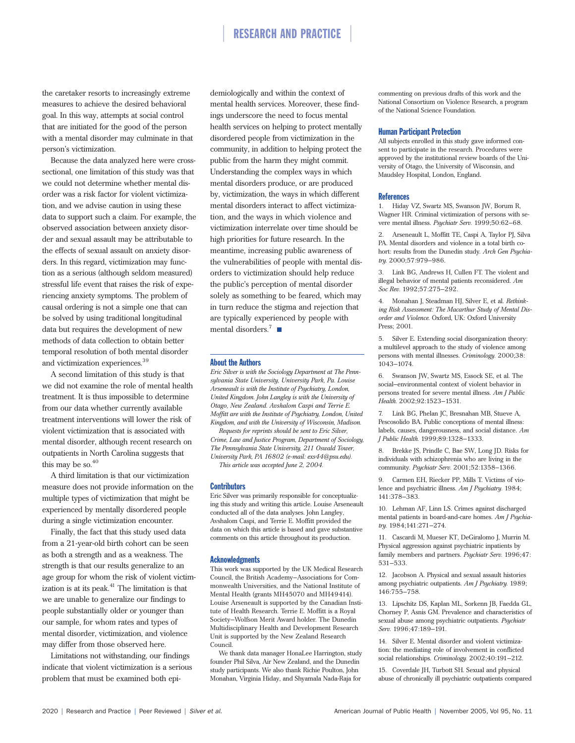# RESEARCH AND PRACTICE

the caretaker resorts to increasingly extreme measures to achieve the desired behavioral goal. In this way, attempts at social control that are initiated for the good of the person with a mental disorder may culminate in that person's victimization.

Because the data analyzed here were crosssectional, one limitation of this study was that we could not determine whether mental disorder was a risk factor for violent victimization, and we advise caution in using these data to support such a claim. For example, the observed association between anxiety disorder and sexual assault may be attributable to the effects of sexual assault on anxiety disorders. In this regard, victimization may function as a serious (although seldom measured) stressful life event that raises the risk of experiencing anxiety symptoms. The problem of causal ordering is not a simple one that can be solved by using traditional longitudinal data but requires the development of new methods of data collection to obtain better temporal resolution of both mental disorder and victimization experiences.<sup>39</sup>

A second limitation of this study is that we did not examine the role of mental health treatment. It is thus impossible to determine from our data whether currently available treatment interventions will lower the risk of violent victimization that is associated with mental disorder, although recent research on outpatients in North Carolina suggests that this may be so. $40$ 

A third limitation is that our victimization measure does not provide information on the multiple types of victimization that might be experienced by mentally disordered people during a single victimization encounter.

Finally, the fact that this study used data from a 21-year-old birth cohort can be seen as both a strength and as a weakness. The strength is that our results generalize to an age group for whom the risk of violent victimization is at its peak.<sup>41</sup> The limitation is that we are unable to generalize our findings to people substantially older or younger than our sample, for whom rates and types of mental disorder, victimization, and violence may differ from those observed here.

Limitations not withstanding, our findings indicate that violent victimization is a serious problem that must be examined both epi-

demiologically and within the context of mental health services. Moreover, these findings underscore the need to focus mental health services on helping to protect mentally disordered people from victimization in the community, in addition to helping protect the public from the harm they might commit. Understanding the complex ways in which mental disorders produce, or are produced by, victimization, the ways in which different mental disorders interact to affect victimization, and the ways in which violence and victimization interrelate over time should be high priorities for future research. In the meantime, increasing public awareness of the vulnerabilities of people with mental disorders to victimization should help reduce the public's perception of mental disorder solely as something to be feared, which may in turn reduce the stigma and rejection that are typically experienced by people with mental disorders.<sup>7</sup>

### About the Authors

*Eric Silver is with the Sociology Department at The Pennsylvania State University, University Park, Pa. Louise Arseneault is with the Institute of Psychiatry, London, United Kingdom. John Langley is with the University of Otago, New Zealand. Avshalom Caspi and Terrie E. Moffitt are with the Institute of Psychiatry, London, United Kingdom, and with the University of Wisconsin, Madison.*

*Requests for reprints should be sent to Eric Silver, Crime, Law and Justice Program, Department of Sociology, The Pennsylvania State University, 211 Oswald Tower, University Park, PA 16802 (e-mail: exs44@psu.edu). This article was accepted June 2, 2004.*

**Contributors** 

Eric Silver was primarily responsible for conceptualizing this study and writing this article. Louise Arseneault conducted all of the data analyses. John Langley, Avshalom Caspi, and Terrie E. Moffitt provided the data on which this article is based and gave substantive comments on this article throughout its production.

#### Acknowledgments

This work was supported by the UK Medical Research Council, the British Academy–Associations for Commonwealth Universities, and the National Institute of Mental Health (grants MH45070 and MH49414). Louise Arseneault is supported by the Canadian Institute of Health Research. Terrie E. Moffitt is a Royal Society–Wolfson Merit Award holder. The Dunedin Multidisciplinary Health and Development Research Unit is supported by the New Zealand Research Council.

We thank data manager HonaLee Harrington, study founder Phil Silva, Air New Zealand, and the Dunedin study participants. We also thank Richie Poulton, John Monahan, Virginia Hiday, and Shyamala Nada-Raja for commenting on previous drafts of this work and the National Consortium on Violence Research, a program of the National Science Foundation.

#### Human Participant Protection

All subjects enrolled in this study gave informed consent to participate in the research. Procedures were approved by the institutional review boards of the University of Otago, the University of Wisconsin, and Maudsley Hospital, London, England.

#### References

1. Hiday VZ, Swartz MS, Swanson JW, Borum R, Wagner HR. Criminal victimization of persons with severe mental illness. *Psychiatr Serv.* 1999;50:62–68.

2. Arseneault L, Moffitt TE, Caspi A, Taylor PJ, Silva PA. Mental disorders and violence in a total birth cohort: results from the Dunedin study. *Arch Gen Psychiatry.* 2000;57:979–986.

Link BG, Andrews H, Cullen FT. The violent and illegal behavior of mental patients reconsidered. *Am Soc Rev.* 1992;57:275–292.

4. Monahan J, Steadman HJ, Silver E, et al. *Rethinking Risk Assessment: The Macarthur Study of Mental Disorder and Violence*. Oxford, UK: Oxford University Press; 2001.

5. Silver E. Extending social disorganization theory: a multilevel approach to the study of violence among persons with mental illnesses. *Criminology.* 2000;38: 1043–1074.

6. Swanson JW, Swartz MS, Essock SE, et al. The social–environmental context of violent behavior in persons treated for severe mental illness. *Am J Public Health.* 2002;92:1523–1531.

7. Link BG, Phelan JC, Bresnahan MB, Stueve A, Pescosolido BA. Public conceptions of mental illness: labels, causes, dangerousness, and social distance. *Am J Public Health.* 1999;89:1328–1333.

8. Brekke JS, Prindle C, Bae SW, Long JD. Risks for individuals with schizophrenia who are living in the community. *Psychiatr Serv.* 2001;52:1358–1366.

9. Carmen EH, Riecker PP, Mills T. Victims of violence and psychiatric illness. *Am J Psychiatry.* 1984; 141:378–383.

10. Lehman AF, Linn LS. Crimes against discharged mental patients in board-and-care homes. *Am J Psychiatry.* 1984;141:271–274.

11. Cascardi M, Mueser KT, DeGiralomo J, Murrin M. Physical aggression against psychiatric inpatients by family members and partners. *Psychiatr Serv.* 1996;47: 531–533.

12. Jacobson A. Physical and sexual assault histories among psychiatric outpatients. *Am J Psychiatry.* 1989; 146:755–758.

13. Lipschitz DS, Kaplan ML, Sorkenn JB, Faedda GL, Chorney P, Asnis GM. Prevalence and characteristics of sexual abuse among psychiatric outpatients. *Psychiatr Serv.* 1996;47:189–191.

14. Silver E. Mental disorder and violent victimization: the mediating role of involvement in conflicted social relationships. *Criminology.* 2002;40:191–212.

15. Coverdale JH, Turbott SH. Sexual and physical abuse of chronically ill psychiatric outpatients compared